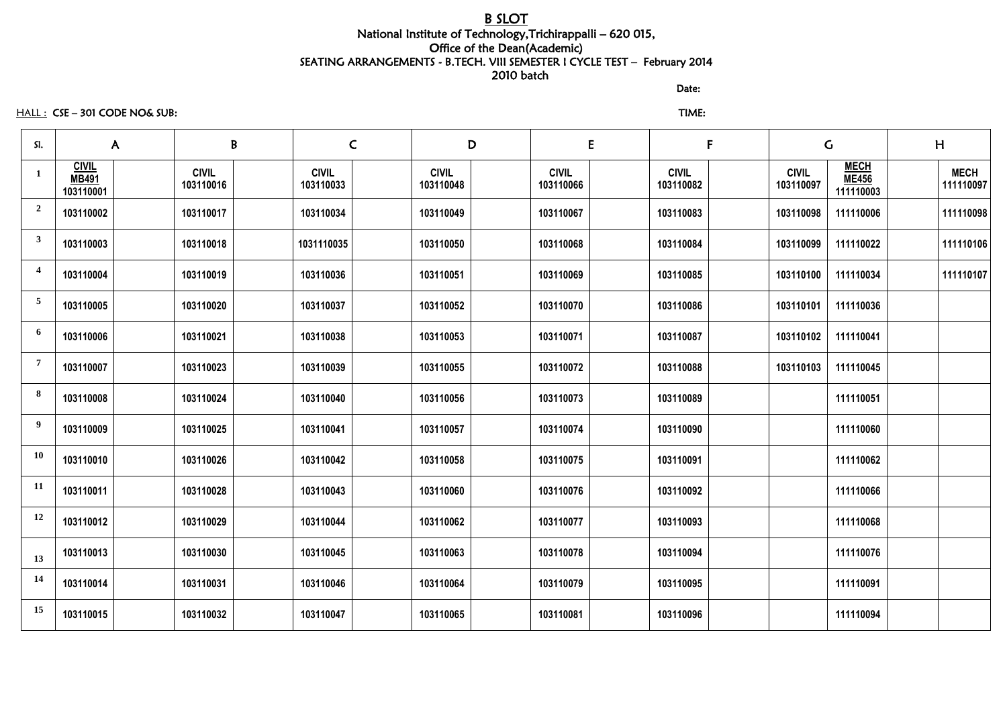## B SLOT National Institute of Technology,Trichirappalli – 620 015, Office of the Dean(Academic) SEATING ARRANGEMENTS - B.TECH. VIII SEMESTER I CYCLE TEST – February 2014 2010 batch

discussion of the contract of the contract of the Date:

HALL : CSE – 301 CODE NO& SUB: TIME:

| SI.                     |                                           | $\mathsf{A}$              | B                         | $\mathsf C$               | D                         | E                         | $\mathsf{F}$              | $\mathsf C$                              |  | H                        |  |
|-------------------------|-------------------------------------------|---------------------------|---------------------------|---------------------------|---------------------------|---------------------------|---------------------------|------------------------------------------|--|--------------------------|--|
| $\mathbf{1}$            | <b>CIVIL</b><br><b>MB491</b><br>103110001 | <b>CIVIL</b><br>103110016 | <b>CIVIL</b><br>103110033 | <b>CIVIL</b><br>103110048 | <b>CIVIL</b><br>103110066 | <b>CIVIL</b><br>103110082 | <b>CIVIL</b><br>103110097 | <b>MECH</b><br><b>ME456</b><br>111110003 |  | <b>MECH</b><br>111110097 |  |
| $\overline{2}$          | 103110002                                 | 103110017                 | 103110034                 | 103110049                 | 103110067                 | 103110083                 | 103110098                 | 111110006                                |  | 111110098                |  |
| $\mathbf{3}$            | 103110003                                 | 103110018                 | 1031110035                | 103110050                 | 103110068                 | 103110084                 | 103110099                 | 111110022                                |  | 111110106                |  |
| $\overline{\mathbf{4}}$ | 103110004                                 | 103110019                 | 103110036                 | 103110051                 | 103110069                 | 103110085                 | 103110100                 | 111110034                                |  | 111110107                |  |
| $5\overline{)}$         | 103110005                                 | 103110020                 | 103110037                 | 103110052                 | 103110070                 | 103110086                 | 103110101                 | 111110036                                |  |                          |  |
| 6                       | 103110006                                 | 103110021                 | 103110038                 | 103110053                 | 103110071                 | 103110087                 | 103110102                 | 111110041                                |  |                          |  |
| $\overline{7}$          | 103110007                                 | 103110023                 | 103110039                 | 103110055                 | 103110072                 | 103110088                 | 103110103                 | 111110045                                |  |                          |  |
| 8                       | 103110008                                 | 103110024                 | 103110040                 | 103110056                 | 103110073                 | 103110089                 |                           | 111110051                                |  |                          |  |
| $\boldsymbol{9}$        | 103110009                                 | 103110025                 | 103110041                 | 103110057                 | 103110074                 | 103110090                 |                           | 111110060                                |  |                          |  |
| <b>10</b>               | 103110010                                 | 103110026                 | 103110042                 | 103110058                 | 103110075                 | 103110091                 |                           | 111110062                                |  |                          |  |
| 11                      | 103110011                                 | 103110028                 | 103110043                 | 103110060                 | 103110076                 | 103110092                 |                           | 111110066                                |  |                          |  |
| 12                      | 103110012                                 | 103110029                 | 103110044                 | 103110062                 | 103110077                 | 103110093                 |                           | 111110068                                |  |                          |  |
| 13                      | 103110013                                 | 103110030                 | 103110045                 | 103110063                 | 103110078                 | 103110094                 |                           | 111110076                                |  |                          |  |
| 14                      | 103110014                                 | 103110031                 | 103110046                 | 103110064                 | 103110079                 | 103110095                 |                           | 111110091                                |  |                          |  |
| 15                      | 103110015                                 | 103110032                 | 103110047                 | 103110065                 | 103110081                 | 103110096                 |                           | 111110094                                |  |                          |  |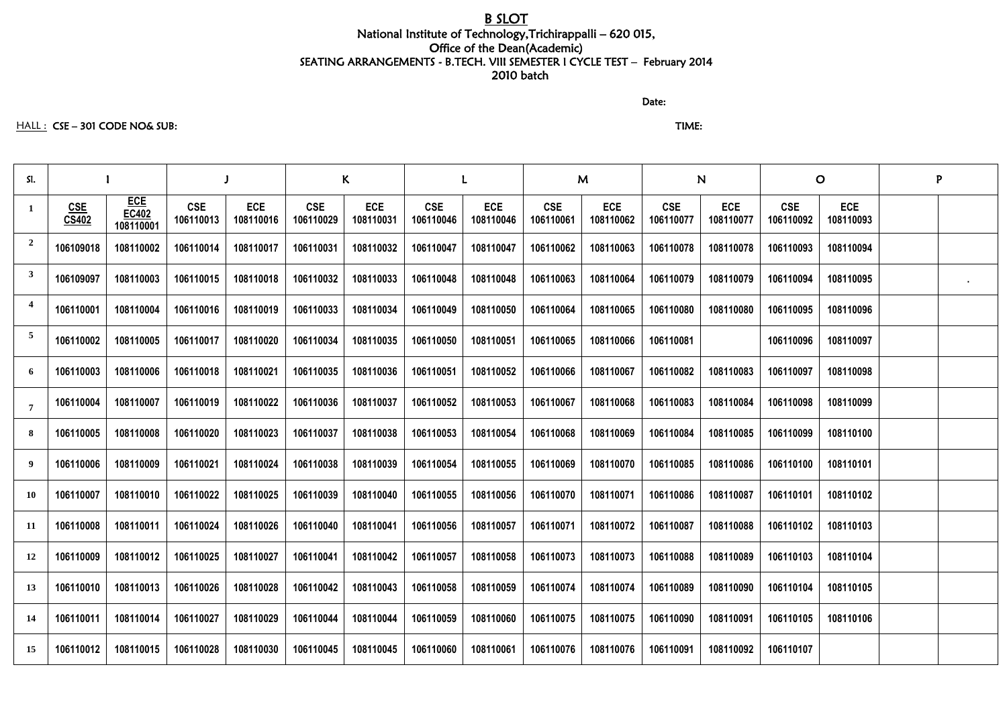# B SLOT

## National Institute of Technology,Trichirappalli – 620 015, Office of the Dean(Academic) SEATING ARRANGEMENTS - B.TECH. VIII SEMESTER I CYCLE TEST – February 2014 2010 batch

discussion of the contract of the contract of the Date:

### HALL : CSE – 301 CODE NO& SUB: TIME:

| SI.             |                     |                                         |                         |                         | K                       |                         |                         |                         | M                       |                         | N                       |                         | $\mathbf O$             |                         | P |  |
|-----------------|---------------------|-----------------------------------------|-------------------------|-------------------------|-------------------------|-------------------------|-------------------------|-------------------------|-------------------------|-------------------------|-------------------------|-------------------------|-------------------------|-------------------------|---|--|
| $\mathbf{1}$    | <b>CSE</b><br>CS402 | <b>ECE</b><br><b>EC402</b><br>108110001 | <b>CSE</b><br>106110013 | <b>ECE</b><br>108110016 | <b>CSE</b><br>106110029 | <b>ECE</b><br>108110031 | <b>CSE</b><br>106110046 | <b>ECE</b><br>108110046 | <b>CSE</b><br>106110061 | <b>ECE</b><br>108110062 | <b>CSE</b><br>106110077 | <b>ECE</b><br>108110077 | <b>CSE</b><br>106110092 | <b>ECE</b><br>108110093 |   |  |
| $\overline{2}$  | 106109018           | 108110002                               | 106110014               | 108110017               | 106110031               | 108110032               | 106110047               | 108110047               | 106110062               | 108110063               | 106110078               | 108110078               | 106110093               | 108110094               |   |  |
| $\mathbf{3}$    | 106109097           | 108110003                               | 106110015               | 108110018               | 106110032               | 108110033               | 106110048               | 108110048               | 106110063               | 108110064               | 106110079               | 108110079               | 106110094               | 108110095               |   |  |
| $\overline{4}$  | 106110001           | 108110004                               | 106110016               | 108110019               | 106110033               | 108110034               | 106110049               | 108110050               | 106110064               | 108110065               | 106110080               | 108110080               | 106110095               | 108110096               |   |  |
| $5\overline{)}$ | 106110002           | 108110005                               | 106110017               | 108110020               | 106110034               | 108110035               | 106110050               | 108110051               | 106110065               | 108110066               | 106110081               |                         | 106110096               | 108110097               |   |  |
| 6               | 106110003           | 108110006                               | 106110018               | 108110021               | 106110035               | 108110036               | 106110051               | 108110052               | 106110066               | 108110067               | 106110082               | 108110083               | 106110097               | 108110098               |   |  |
| $\overline{7}$  | 106110004           | 108110007                               | 106110019               | 108110022               | 106110036               | 108110037               | 106110052               | 108110053               | 106110067               | 108110068               | 106110083               | 108110084               | 106110098               | 108110099               |   |  |
| 8               | 106110005           | 108110008                               | 106110020               | 108110023               | 106110037               | 108110038               | 106110053               | 108110054               | 106110068               | 108110069               | 106110084               | 108110085               | 106110099               | 108110100               |   |  |
| 9               | 106110006           | 108110009                               | 106110021               | 108110024               | 106110038               | 108110039               | 106110054               | 108110055               | 106110069               | 108110070               | 106110085               | 108110086               | 106110100               | 108110101               |   |  |
| 10              | 106110007           | 108110010                               | 106110022               | 108110025               | 106110039               | 108110040               | 106110055               | 108110056               | 106110070               | 108110071               | 106110086               | 108110087               | 106110101               | 108110102               |   |  |
| 11              | 106110008           | 108110011                               | 106110024               | 108110026               | 106110040               | 108110041               | 106110056               | 108110057               | 106110071               | 108110072               | 106110087               | 108110088               | 106110102               | 108110103               |   |  |
| 12              | 106110009           | 108110012                               | 106110025               | 108110027               | 106110041               | 108110042               | 106110057               | 108110058               | 106110073               | 108110073               | 106110088               | 108110089               | 106110103               | 108110104               |   |  |
| 13              | 106110010           | 108110013                               | 106110026               | 108110028               | 106110042               | 108110043               | 106110058               | 108110059               | 106110074               | 108110074               | 106110089               | 108110090               | 106110104               | 108110105               |   |  |
| 14              | 106110011           | 108110014                               | 106110027               | 108110029               | 106110044               | 108110044               | 106110059               | 108110060               | 106110075               | 108110075               | 106110090               | 108110091               | 106110105               | 108110106               |   |  |
| 15              | 106110012           | 108110015                               | 106110028               | 108110030               | 106110045               | 108110045               | 106110060               | 108110061               | 106110076               | 108110076               | 106110091               | 108110092               | 106110107               |                         |   |  |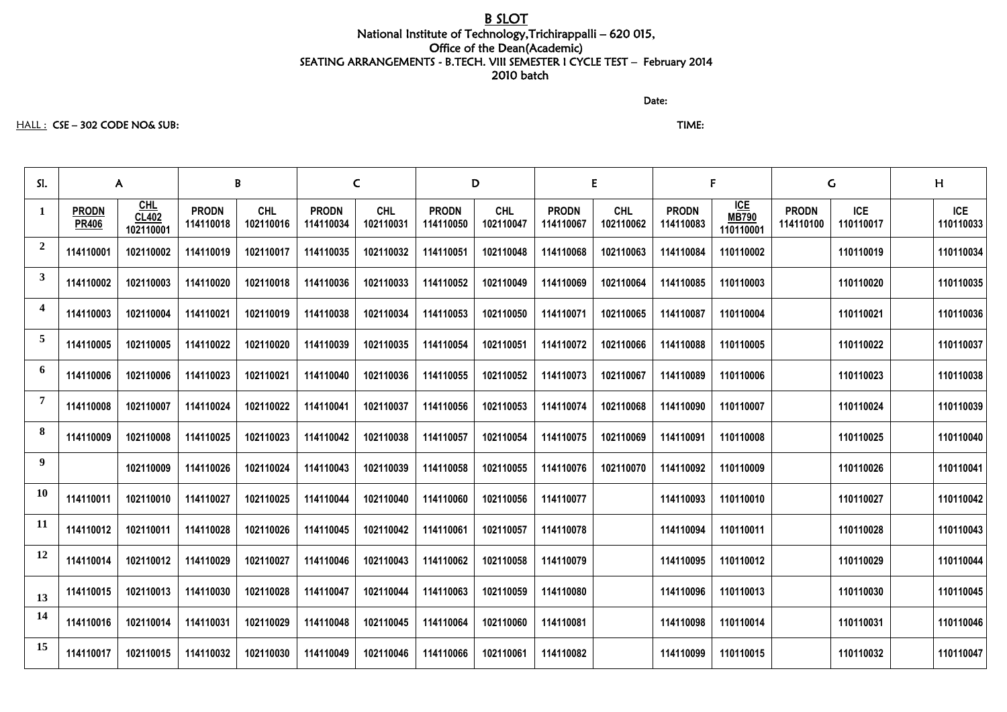# B SLOT

## National Institute of Technology,Trichirappalli – 620 015, Office of the Dean(Academic) SEATING ARRANGEMENTS - B.TECH. VIII SEMESTER I CYCLE TEST – February 2014 2010 batch

discussion of the contract of the contract of the Date:

#### HALL : CSE – 302 CODE NO& SUB: TIME:

| SI.                     | $\mathsf{A}$                 |                                         | $\mathbf{B}$              |                         | $\mathsf{C}$              |                         | D                         |                         | E                         |                         | F                         |                                         | $\mathsf{G}$              |                         | H                       |
|-------------------------|------------------------------|-----------------------------------------|---------------------------|-------------------------|---------------------------|-------------------------|---------------------------|-------------------------|---------------------------|-------------------------|---------------------------|-----------------------------------------|---------------------------|-------------------------|-------------------------|
| $\mathbf{1}$            | <b>PRODN</b><br><b>PR406</b> | <u>CHL</u><br><b>CL402</b><br>102110001 | <b>PRODN</b><br>114110018 | <b>CHL</b><br>102110016 | <b>PRODN</b><br>114110034 | <b>CHL</b><br>102110031 | <b>PRODN</b><br>114110050 | <b>CHL</b><br>102110047 | <b>PRODN</b><br>114110067 | <b>CHL</b><br>102110062 | <b>PRODN</b><br>114110083 | <b>ICE</b><br><b>MB790</b><br>110110001 | <b>PRODN</b><br>114110100 | <b>ICE</b><br>110110017 | <b>ICE</b><br>110110033 |
| $\overline{2}$          | 114110001                    | 102110002                               | 114110019                 | 102110017               | 114110035                 | 102110032               | 114110051                 | 102110048               | 114110068                 | 102110063               | 114110084                 | 110110002                               |                           | 110110019               | 110110034               |
| $\mathbf{3}$            | 114110002                    | 102110003                               | 114110020                 | 102110018               | 114110036                 | 102110033               | 114110052                 | 102110049               | 114110069                 | 102110064               | 114110085                 | 110110003                               |                           | 110110020               | 110110035               |
| $\overline{\mathbf{4}}$ | 114110003                    | 102110004                               | 114110021                 | 102110019               | 114110038                 | 102110034               | 114110053                 | 102110050               | 114110071                 | 102110065               | 114110087                 | 110110004                               |                           | 110110021               | 110110036               |
| $\overline{5}$          | 114110005                    | 102110005                               | 114110022                 | 102110020               | 114110039                 | 102110035               | 114110054                 | 102110051               | 114110072                 | 102110066               | 114110088                 | 110110005                               |                           | 110110022               | 110110037               |
| 6                       | 114110006                    | 102110006                               | 114110023                 | 102110021               | 114110040                 | 102110036               | 114110055                 | 102110052               | 114110073                 | 102110067               | 114110089                 | 110110006                               |                           | 110110023               | 110110038               |
| $\overline{7}$          | 114110008                    | 102110007                               | 114110024                 | 102110022               | 114110041                 | 102110037               | 114110056                 | 102110053               | 114110074                 | 102110068               | 114110090                 | 110110007                               |                           | 110110024               | 110110039               |
| 8                       | 114110009                    | 102110008                               | 114110025                 | 102110023               | 114110042                 | 102110038               | 114110057                 | 102110054               | 114110075                 | 102110069               | 114110091                 | 110110008                               |                           | 110110025               | 110110040               |
| 9                       |                              | 102110009                               | 114110026                 | 102110024               | 114110043                 | 102110039               | 114110058                 | 102110055               | 114110076                 | 102110070               | 114110092                 | 110110009                               |                           | 110110026               | 110110041               |
| <b>10</b>               | 114110011                    | 102110010                               | 114110027                 | 102110025               | 114110044                 | 102110040               | 114110060                 | 102110056               | 114110077                 |                         | 114110093                 | 110110010                               |                           | 110110027               | 110110042               |
| <b>11</b>               | 114110012                    | 102110011                               | 114110028                 | 102110026               | 114110045                 | 102110042               | 114110061                 | 102110057               | 114110078                 |                         | 114110094                 | 110110011                               |                           | 110110028               | 110110043               |
| 12                      | 114110014                    | 102110012                               | 114110029                 | 102110027               | 114110046                 | 102110043               | 114110062                 | 102110058               | 114110079                 |                         | 114110095                 | 110110012                               |                           | 110110029               | 110110044               |
| 13                      | 114110015                    | 102110013                               | 114110030                 | 102110028               | 114110047                 | 102110044               | 114110063                 | 102110059               | 114110080                 |                         | 114110096                 | 110110013                               |                           | 110110030               | 110110045               |
| 14                      | 114110016                    | 102110014                               | 114110031                 | 102110029               | 114110048                 | 102110045               | 114110064                 | 102110060               | 114110081                 |                         | 114110098                 | 110110014                               |                           | 110110031               | 110110046               |
| 15                      | 114110017                    | 102110015                               | 114110032                 | 102110030               | 114110049                 | 102110046               | 114110066                 | 102110061               | 114110082                 |                         | 114110099                 | 110110015                               |                           | 110110032               | 110110047               |